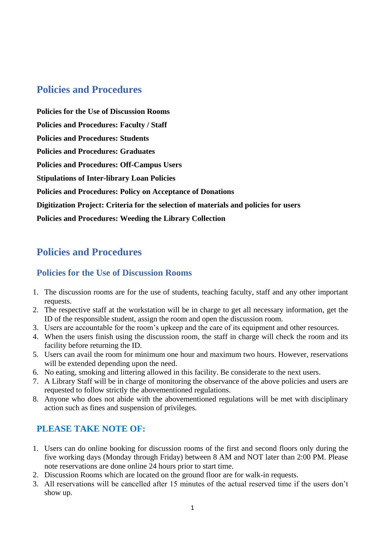# **Policies and Procedures**

**Policies for the Use of [Discussion](https://www.bethlehem.edu/ic/library/policies-and-procedures/#1579867027179-a98244cb-6bed) Rooms Policies and [Procedures:](https://www.bethlehem.edu/ic/library/policies-and-procedures/#1579867027179-d4abdea8-7732) Faculty / Staff Policies and [Procedures:](https://www.bethlehem.edu/ic/library/policies-and-procedures/#1580124083678-4e62f25b-b420) Students Policies and [Procedures:](https://www.bethlehem.edu/ic/library/policies-and-procedures/#1580124441797-707ac850-6588) Graduates Policies and Procedures: [Off-Campus](https://www.bethlehem.edu/ic/library/policies-and-procedures/#1580124561335-dab72615-95e1) Users Stipulations of [Inter-library](https://www.bethlehem.edu/ic/library/policies-and-procedures/#1580124609046-039711a4-4e53) Loan Policies Policies and [Procedures:](https://www.bethlehem.edu/ic/library/policies-and-procedures/#1580124709487-0bdce8f9-dfa1) Policy on Acceptance of Donations [Digitization](https://www.bethlehem.edu/ic/library/policies-and-procedures/#1580124785936-4fb2b391-c293) Project: Criteria for the selection of materials and policies for users Policies and [Procedures:](https://www.bethlehem.edu/ic/library/policies-and-procedures/#1580124873175-1753ef64-d079) Weeding the Library Collection**

# **Policies and Procedures**

# **Policies for the Use of Discussion Rooms**

- 1. The discussion rooms are for the use of students, teaching faculty, staff and any other important requests.
- 2. The respective staff at the workstation will be in charge to get all necessary information, get the ID of the responsible student, assign the room and open the discussion room.
- 3. Users are accountable for the room's upkeep and the care of its equipment and other resources.
- 4. When the users finish using the discussion room, the staff in charge will check the room and its facility before returning the ID.
- 5. Users can avail the room for minimum one hour and maximum two hours. However, reservations will be extended depending upon the need.
- 6. No eating, smoking and littering allowed in this facility. Be considerate to the next users.
- 7. A Library Staff will be in charge of monitoring the observance of the above policies and users are requested to follow strictly the abovementioned regulations.
- 8. Anyone who does not abide with the abovementioned regulations will be met with disciplinary action such as fines and suspension of privileges.

# **PLEASE TAKE NOTE OF:**

- 1. Users can do online booking for discussion rooms of the first and second floors only during the five working days (Monday through Friday) between 8 AM and NOT later than 2:00 PM. Please note reservations are done online 24 hours prior to start time.
- 2. Discussion Rooms which are located on the ground floor are for walk-in requests.
- 3. All reservations will be cancelled after 15 minutes of the actual reserved time if the users don't show up.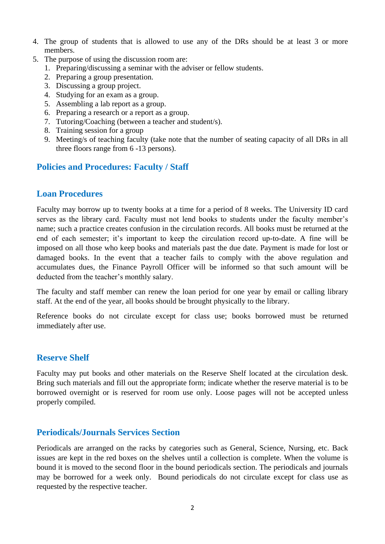- 4. The group of students that is allowed to use any of the DRs should be at least 3 or more members.
- 5. The purpose of using the discussion room are:
	- 1. Preparing/discussing a seminar with the adviser or fellow students.
	- 2. Preparing a group presentation.
	- 3. Discussing a group project.
	- 4. Studying for an exam as a group.
	- 5. Assembling a lab report as a group.
	- 6. Preparing a research or a report as a group.
	- 7. Tutoring/Coaching (between a teacher and student/s).
	- 8. Training session for a group
	- 9. Meeting/s of teaching faculty (take note that the number of seating capacity of all DRs in all three floors range from 6 -13 persons).

### **Policies and [Procedures:](https://www.bethlehem.edu/ic/library/policies-and-procedures/#1579867027179-d4abdea8-7732) Faculty / Staff**

### **Loan Procedures**

Faculty may borrow up to twenty books at a time for a period of 8 weeks. The University ID card serves as the library card. Faculty must not lend books to students under the faculty member's name; such a practice creates confusion in the circulation records. All books must be returned at the end of each semester; it's important to keep the circulation record up-to-date. A fine will be imposed on all those who keep books and materials past the due date. Payment is made for lost or damaged books. In the event that a teacher fails to comply with the above regulation and accumulates dues, the Finance Payroll Officer will be informed so that such amount will be deducted from the teacher's monthly salary.

The faculty and staff member can renew the loan period for one year by email or calling library staff. At the end of the year, all books should be brought physically to the library.

Reference books do not circulate except for class use; books borrowed must be returned immediately after use.

#### **Reserve Shelf**

Faculty may put books and other materials on the Reserve Shelf located at the circulation desk. Bring such materials and fill out the appropriate form; indicate whether the reserve material is to be borrowed overnight or is reserved for room use only. Loose pages will not be accepted unless properly compiled.

### **Periodicals/Journals Services Section**

Periodicals are arranged on the racks by categories such as General, Science, Nursing, etc. Back issues are kept in the red boxes on the shelves until a collection is complete. When the volume is bound it is moved to the second floor in the bound periodicals section. The periodicals and journals may be borrowed for a week only. Bound periodicals do not circulate except for class use as requested by the respective teacher.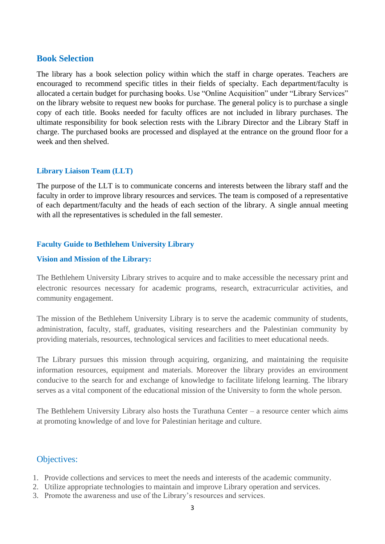## **Book Selection**

The library has a book selection policy within which the staff in charge operates. Teachers are encouraged to recommend specific titles in their fields of specialty. Each department/faculty is allocated a certain budget for purchasing books. Use "Online Acquisition" under "Library Services" on the library website to request new books for purchase. The general policy is to purchase a single copy of each title. Books needed for faculty offices are not included in library purchases. The ultimate responsibility for book selection rests with the Library Director and the Library Staff in charge. The purchased books are processed and displayed at the entrance on the ground floor for a week and then shelved.

### **Library Liaison Team (LLT)**

The purpose of the LLT is to communicate concerns and interests between the library staff and the faculty in order to improve library resources and services. The team is composed of a representative of each department/faculty and the heads of each section of the library. A single annual meeting with all the representatives is scheduled in the fall semester.

#### **Faculty Guide to Bethlehem University Library**

#### **Vision and Mission of the Library:**

The Bethlehem University Library strives to acquire and to make accessible the necessary print and electronic resources necessary for academic programs, research, extracurricular activities, and community engagement.

The mission of the Bethlehem University Library is to serve the academic community of students, administration, faculty, staff, graduates, visiting researchers and the Palestinian community by providing materials, resources, technological services and facilities to meet educational needs.

The Library pursues this mission through acquiring, organizing, and maintaining the requisite information resources, equipment and materials. Moreover the library provides an environment conducive to the search for and exchange of knowledge to facilitate lifelong learning. The library serves as a vital component of the educational mission of the University to form the whole person.

The Bethlehem University Library also hosts the Turathuna Center – a resource center which aims at promoting knowledge of and love for Palestinian heritage and culture.

# Objectives:

- 1. Provide collections and services to meet the needs and interests of the academic community.
- 2. Utilize appropriate technologies to maintain and improve Library operation and services.
- 3. Promote the awareness and use of the Library's resources and services.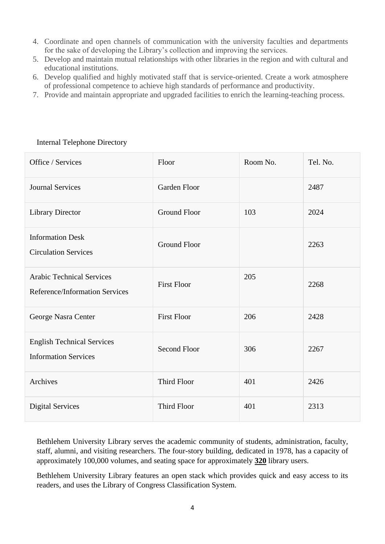- 4. Coordinate and open channels of communication with the university faculties and departments for the sake of developing the Library's collection and improving the services.
- 5. Develop and maintain mutual relationships with other libraries in the region and with cultural and educational institutions.
- 6. Develop qualified and highly motivated staff that is service-oriented. Create a work atmosphere of professional competence to achieve high standards of performance and productivity.
- 7. Provide and maintain appropriate and upgraded facilities to enrich the learning-teaching process.

| Office / Services                                                  | Floor               | Room No. | Tel. No. |
|--------------------------------------------------------------------|---------------------|----------|----------|
| <b>Journal Services</b>                                            | Garden Floor        |          | 2487     |
| <b>Library Director</b>                                            | <b>Ground Floor</b> | 103      | 2024     |
| <b>Information Desk</b><br><b>Circulation Services</b>             | <b>Ground Floor</b> |          | 2263     |
| <b>Arabic Technical Services</b><br>Reference/Information Services | <b>First Floor</b>  | 205      | 2268     |
| George Nasra Center                                                | <b>First Floor</b>  | 206      | 2428     |
| <b>English Technical Services</b><br><b>Information Services</b>   | <b>Second Floor</b> | 306      | 2267     |
| Archives                                                           | Third Floor         | 401      | 2426     |
| <b>Digital Services</b>                                            | Third Floor         | 401      | 2313     |

## Internal Telephone Directory

Bethlehem University Library serves the academic community of students, administration, faculty, staff, alumni, and visiting researchers. The four-story building, dedicated in 1978, has a capacity of approximately 100,000 volumes, and seating space for approximately **320** library users.

Bethlehem University Library features an open stack which provides quick and easy access to its readers, and uses the Library of Congress Classification System.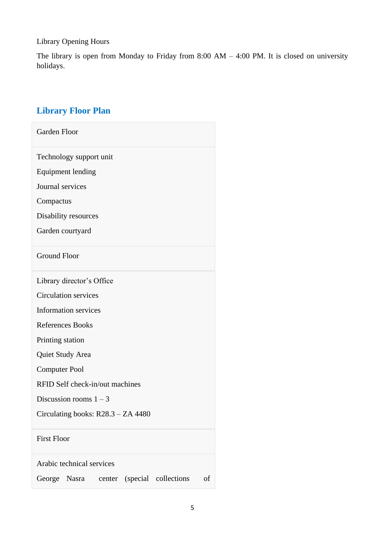Library Opening Hours

The library is open from Monday to Friday from 8:00 AM – 4:00 PM. It is closed on university holidays.

# **Library Floor Plan**

| Garden Floor                                             |
|----------------------------------------------------------|
| Technology support unit                                  |
| <b>Equipment lending</b>                                 |
| Journal services                                         |
| Compactus                                                |
| Disability resources                                     |
| Garden courtyard                                         |
| <b>Ground Floor</b>                                      |
| Library director's Office                                |
| <b>Circulation services</b>                              |
| <b>Information services</b>                              |
| <b>References Books</b>                                  |
| Printing station                                         |
| Quiet Study Area                                         |
| <b>Computer Pool</b>                                     |
| RFID Self check-in/out machines                          |
| Discussion rooms $1 - 3$                                 |
| Circulating books: R28.3 - ZA 4480                       |
| <b>First Floor</b>                                       |
| Arabic technical services                                |
| (special collections)<br>George<br>Nasra<br>of<br>center |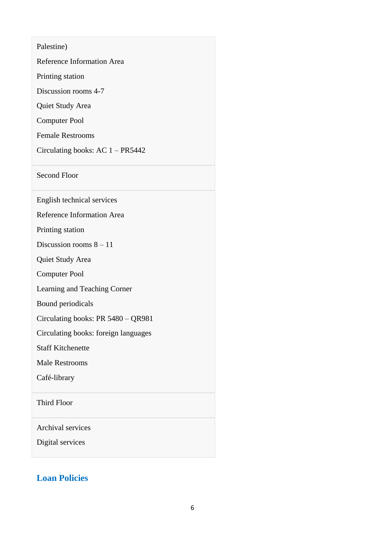Palestine)

Reference Information Area

Printing station

Discussion rooms 4-7

Quiet Study Area

Computer Pool

Female Restrooms

Circulating books: AC 1 – PR5442

Second Floor

English technical services

Reference Information Area

Printing station

Discussion rooms  $8 - 11$ 

Quiet Study Area

Computer Pool

Learning and Teaching Corner

Bound periodicals

Circulating books: PR 5480 – QR981

Circulating books: foreign languages

Staff Kitchenette

Male Restrooms

Café-library

Third Floor

Archival services

Digital services

# **Loan Policies**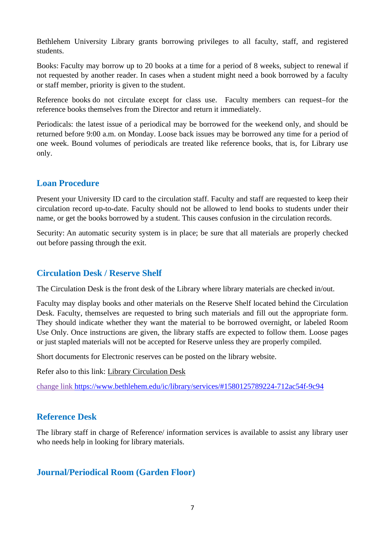Bethlehem University Library grants borrowing privileges to all faculty, staff, and registered students.

Books: Faculty may borrow up to 20 books at a time for a period of 8 weeks, subject to renewal if not requested by another reader. In cases when a student might need a book borrowed by a faculty or staff member, priority is given to the student.

Reference books do not circulate except for class use. Faculty members can request-for the reference books themselves from the Director and return it immediately.

Periodicals: the latest issue of a periodical may be borrowed for the weekend only, and should be returned before 9:00 a.m. on Monday. Loose back issues may be borrowed any time for a period of one week. Bound volumes of periodicals are treated like reference books, that is, for Library use only.

# **Loan Procedure**

Present your University ID card to the circulation staff. Faculty and staff are requested to keep their circulation record up-to-date. Faculty should not be allowed to lend books to students under their name, or get the books borrowed by a student. This causes confusion in the circulation records.

Security: An automatic security system is in place; be sure that all materials are properly checked out before passing through the exit.

# **Circulation Desk / Reserve Shelf**

The Circulation Desk is the front desk of the Library where library materials are checked in/out.

Faculty may display books and other materials on the Reserve Shelf located behind the Circulation Desk. Faculty, themselves are requested to bring such materials and fill out the appropriate form. They should indicate whether they want the material to be borrowed overnight, or labeled Room Use Only. Once instructions are given, the library staffs are expected to follow them. Loose pages or just stapled materials will not be accepted for Reserve unless they are properly compiled.

Short documents for Electronic reserves can be posted on the library website.

Refer also to this link: [Library Circulation Desk](https://www.bethlehem.edu/ic/library/services#Circulation) 

change link https://www.bethlehem.edu/ic/library/services/#1580125789224-712ac54f-9c94

# **Reference Desk**

The library staff in charge of Reference/ information services is available to assist any library user who needs help in looking for library materials.

# **Journal/Periodical Room (Garden Floor)**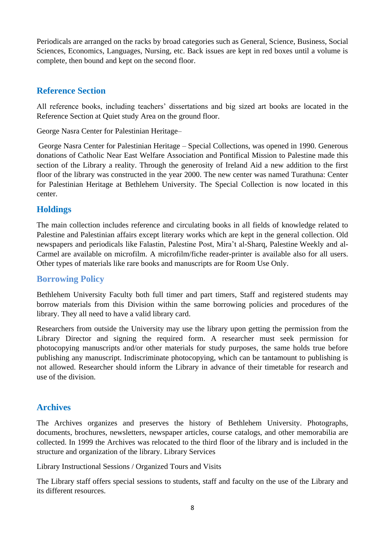Periodicals are arranged on the racks by broad categories such as General, Science, Business, Social Sciences, Economics, Languages, Nursing, etc. Back issues are kept in red boxes until a volume is complete, then bound and kept on the second floor.

# **Reference Section**

All reference books, including teachers' dissertations and big sized art books are located in the Reference Section at Quiet study Area on the ground floor.

George Nasra Center for Palestinian Heritage–

George Nasra Center for Palestinian Heritage – Special Collections, was opened in 1990. Generous donations of Catholic Near East Welfare Association and Pontifical Mission to Palestine made this section of the Library a reality. Through the generosity of Ireland Aid a new addition to the first floor of the library was constructed in the year 2000. The new center was named Turathuna: Center for Palestinian Heritage at Bethlehem University. The Special Collection is now located in this center.

# **Holdings**

The main collection includes reference and circulating books in all fields of knowledge related to Palestine and Palestinian affairs except literary works which are kept in the general collection. Old newspapers and periodicals like Falastin, Palestine Post, Mira't al-Sharq, Palestine Weekly and al-Carmel are available on microfilm. A microfilm/fiche reader-printer is available also for all users. Other types of materials like rare books and manuscripts are for Room Use Only.

# **Borrowing Policy**

Bethlehem University Faculty both full timer and part timers, Staff and registered students may borrow materials from this Division within the same borrowing policies and procedures of the library. They all need to have a valid library card.

Researchers from outside the University may use the library upon getting the permission from the Library Director and signing the required form. A researcher must seek permission for photocopying manuscripts and/or other materials for study purposes, the same holds true before publishing any manuscript. Indiscriminate photocopying, which can be tantamount to publishing is not allowed. Researcher should inform the Library in advance of their timetable for research and use of the division.

# **Archives**

The Archives organizes and preserves the history of Bethlehem University. Photographs, documents, brochures, newsletters, newspaper articles, course catalogs, and other memorabilia are collected. In 1999 the Archives was relocated to the third floor of the library and is included in the structure and organization of the library. Library Services

Library Instructional Sessions / Organized Tours and Visits

The Library staff offers special sessions to students, staff and faculty on the use of the Library and its different resources.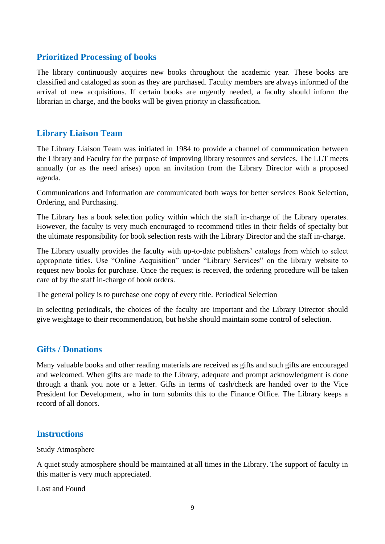# **Prioritized Processing of books**

The library continuously acquires new books throughout the academic year. These books are classified and cataloged as soon as they are purchased. Faculty members are always informed of the arrival of new acquisitions. If certain books are urgently needed, a faculty should inform the librarian in charge, and the books will be given priority in classification.

# **Library Liaison Team**

The Library Liaison Team was initiated in 1984 to provide a channel of communication between the Library and Faculty for the purpose of improving library resources and services. The LLT meets annually (or as the need arises) upon an invitation from the Library Director with a proposed agenda.

Communications and Information are communicated both ways for better services Book Selection, Ordering, and Purchasing.

The Library has a book selection policy within which the staff in-charge of the Library operates. However, the faculty is very much encouraged to recommend titles in their fields of specialty but the ultimate responsibility for book selection rests with the Library Director and the staff in-charge.

The Library usually provides the faculty with up-to-date publishers' catalogs from which to select appropriate titles. Use "Online Acquisition" under "Library Services" on the library website to request new books for purchase. Once the request is received, the ordering procedure will be taken care of by the staff in-charge of book orders.

The general policy is to purchase one copy of every title. Periodical Selection

In selecting periodicals, the choices of the faculty are important and the Library Director should give weightage to their recommendation, but he/she should maintain some control of selection.

# **Gifts / Donations**

Many valuable books and other reading materials are received as gifts and such gifts are encouraged and welcomed. When gifts are made to the Library, adequate and prompt acknowledgment is done through a thank you note or a letter. Gifts in terms of cash/check are handed over to the Vice President for Development, who in turn submits this to the Finance Office. The Library keeps a record of all donors.

# **Instructions**

Study Atmosphere

A quiet study atmosphere should be maintained at all times in the Library. The support of faculty in this matter is very much appreciated.

Lost and Found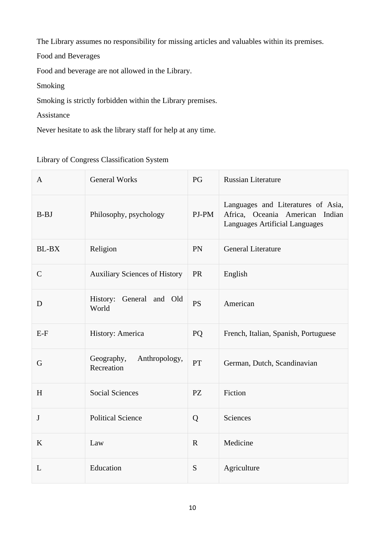The Library assumes no responsibility for missing articles and valuables within its premises.

Food and Beverages

Food and beverage are not allowed in the Library.

Smoking

Smoking is strictly forbidden within the Library premises.

Assistance

Never hesitate to ask the library staff for help at any time.

Library of Congress Classification System

| A            | <b>General Works</b>                      | PG          | <b>Russian Literature</b>                                                                               |
|--------------|-------------------------------------------|-------------|---------------------------------------------------------------------------------------------------------|
| <b>B-BJ</b>  | Philosophy, psychology                    | PJ-PM       | Languages and Literatures of Asia,<br>Africa, Oceania American Indian<br>Languages Artificial Languages |
| <b>BL-BX</b> | Religion                                  | PN          | <b>General Literature</b>                                                                               |
| $\mathsf{C}$ | <b>Auxiliary Sciences of History</b>      | <b>PR</b>   | English                                                                                                 |
| D            | History: General and Old<br>World         | <b>PS</b>   | American                                                                                                |
| $E-F$        | History: America                          | <b>PQ</b>   | French, Italian, Spanish, Portuguese                                                                    |
| G            | Anthropology,<br>Geography,<br>Recreation | <b>PT</b>   | German, Dutch, Scandinavian                                                                             |
| H            | <b>Social Sciences</b>                    | <b>PZ</b>   | Fiction                                                                                                 |
| $\bf J$      | <b>Political Science</b>                  | Q           | Sciences                                                                                                |
| K            | Law                                       | $\mathbf R$ | Medicine                                                                                                |
| L            | Education                                 | S           | Agriculture                                                                                             |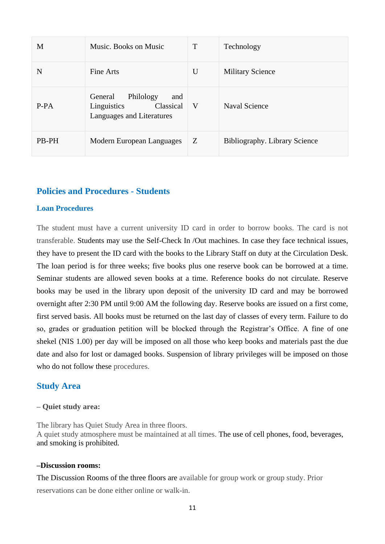| M      | Music. Books on Music                                                                | T | Technology                    |
|--------|--------------------------------------------------------------------------------------|---|-------------------------------|
| N      | Fine Arts                                                                            | U | <b>Military Science</b>       |
| $P-PA$ | General<br>Philology<br>and<br>Linguistics<br>Classical<br>Languages and Literatures | V | <b>Naval Science</b>          |
| PB-PH  | Modern European Languages                                                            | Z | Bibliography. Library Science |

## **Policies and Procedures - Students**

#### **Loan Procedures**

The student must have a current university ID card in order to borrow books. The card is not transferable. Students may use the Self-Check In /Out machines. In case they face technical issues, they have to present the ID card with the books to the Library Staff on duty at the Circulation Desk. The loan period is for three weeks; five books plus one reserve book can be borrowed at a time. Seminar students are allowed seven books at a time. Reference books do not circulate. Reserve books may be used in the library upon deposit of the university ID card and may be borrowed overnight after 2:30 PM until 9:00 AM the following day. Reserve books are issued on a first come, first served basis. All books must be returned on the last day of classes of every term. Failure to do so, grades or graduation petition will be blocked through the Registrar's Office. A fine of one shekel (NIS 1.00) per day will be imposed on all those who keep books and materials past the due date and also for lost or damaged books. Suspension of library privileges will be imposed on those who do not follow these procedures.

### **Study Area**

#### **– Quiet study area:**

The library has Quiet Study Area in three floors. A quiet study atmosphere must be maintained at all times. The use of cell phones, food, beverages, and smoking is prohibited.

#### **–Discussion rooms:**

The Discussion Rooms of the three floors are available for group work or group study. Prior reservations can be done either online or walk-in.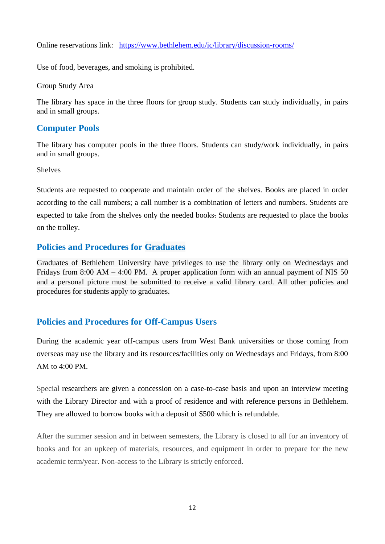Online reservations link: <https://www.bethlehem.edu/ic/library/discussion-rooms/>

Use of food, beverages, and smoking is prohibited.

Group Study Area

The library has space in the three floors for group study. Students can study individually, in pairs and in small groups.

# **Computer Pools**

The library has computer pools in the three floors. Students can study/work individually, in pairs and in small groups.

Shelves

Students are requested to cooperate and maintain order of the shelves. Books are placed in order according to the call numbers; a call number is a combination of letters and numbers. Students are expected to take from the shelves only the needed books. Students are requested to place the books on the trolley.

## **Policies and Procedures for Graduates**

Graduates of Bethlehem University have privileges to use the library only on Wednesdays and Fridays from 8:00 AM  $-$  4:00 PM. A proper application form with an annual payment of NIS 50 and a personal picture must be submitted to receive a valid library card. All other policies and procedures for students apply to graduates.

# **Policies and Procedures for Off-Campus Users**

During the academic year off-campus users from West Bank universities or those coming from overseas may use the library and its resources/facilities only on Wednesdays and Fridays, from 8:00 AM to 4:00 PM.

Special researchers are given a concession on a case-to-case basis and upon an interview meeting with the Library Director and with a proof of residence and with reference persons in Bethlehem. They are allowed to borrow books with a deposit of \$500 which is refundable.

After the summer session and in between semesters, the Library is closed to all for an inventory of books and for an upkeep of materials, resources, and equipment in order to prepare for the new academic term/year. Non-access to the Library is strictly enforced.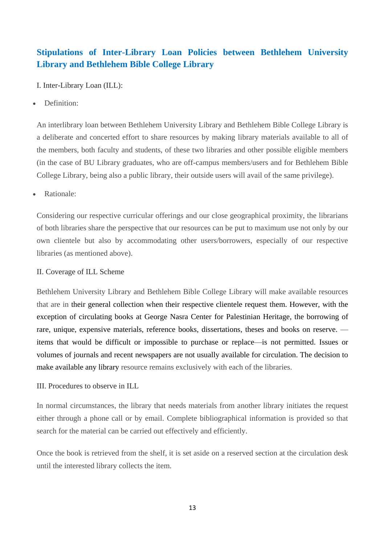# **Stipulations of Inter-Library Loan Policies between Bethlehem University Library and Bethlehem Bible College Library**

I. Inter-Library Loan (ILL):

Definition:

An interlibrary loan between Bethlehem University Library and Bethlehem Bible College Library is a deliberate and concerted effort to share resources by making library materials available to all of the members, both faculty and students, of these two libraries and other possible eligible members (in the case of BU Library graduates, who are off-campus members/users and for Bethlehem Bible College Library, being also a public library, their outside users will avail of the same privilege).

• Rationale:

Considering our respective curricular offerings and our close geographical proximity, the librarians of both libraries share the perspective that our resources can be put to maximum use not only by our own clientele but also by accommodating other users/borrowers, especially of our respective libraries (as mentioned above).

#### II. Coverage of ILL Scheme

Bethlehem University Library and Bethlehem Bible College Library will make available resources that are in their general collection when their respective clientele request them. However, with the exception of circulating books at George Nasra Center for Palestinian Heritage, the borrowing of rare, unique, expensive materials, reference books, dissertations, theses and books on reserve. items that would be difficult or impossible to purchase or replace—is not permitted. Issues or volumes of journals and recent newspapers are not usually available for circulation. The decision to make available any library resource remains exclusively with each of the libraries.

III. Procedures to observe in ILL

In normal circumstances, the library that needs materials from another library initiates the request either through a phone call or by email. Complete bibliographical information is provided so that search for the material can be carried out effectively and efficiently.

Once the book is retrieved from the shelf, it is set aside on a reserved section at the circulation desk until the interested library collects the item.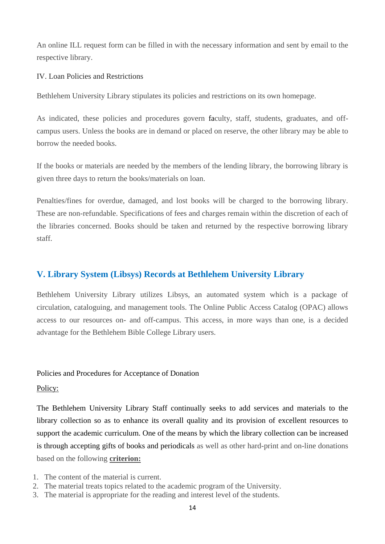An online ILL request form can be filled in with the necessary information and sent by email to the respective library.

IV. Loan Policies and Restrictions

Bethlehem University Library stipulates its policies and restrictions on its own homepage.

As indicated, these policies and procedures govern faculty, staff, students, graduates, and offcampus users. Unless the books are in demand or placed on reserve, the other library may be able to borrow the needed books.

If the books or materials are needed by the members of the lending library, the borrowing library is given three days to return the books/materials on loan.

Penalties/fines for overdue, damaged, and lost books will be charged to the borrowing library. These are non-refundable. Specifications of fees and charges remain within the discretion of each of the libraries concerned. Books should be taken and returned by the respective borrowing library staff.

# **V. Library System (Libsys) Records at Bethlehem University Library**

Bethlehem University Library utilizes Libsys, an automated system which is a package of circulation, cataloguing, and management tools. The Online Public Access Catalog (OPAC) allows access to our resources on- and off-campus. This access, in more ways than one, is a decided advantage for the Bethlehem Bible College Library users.

#### Policies and Procedures for Acceptance of Donation

#### Policy:

The Bethlehem University Library Staff continually seeks to add services and materials to the library collection so as to enhance its overall quality and its provision of excellent resources to support the academic curriculum. One of the means by which the library collection can be increased is through accepting gifts of books and periodicals as well as other hard-print and on-line donations based on the following **criterion:**

- 1. The content of the material is current.
- 2. The material treats topics related to the academic program of the University.
- 3. The material is appropriate for the reading and interest level of the students.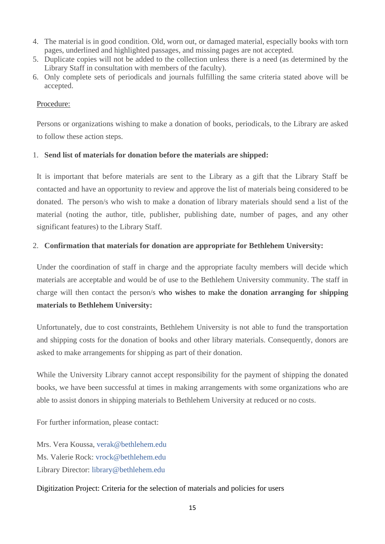- 4. The material is in good condition. Old, worn out, or damaged material, especially books with torn pages, underlined and highlighted passages, and missing pages are not accepted.
- 5. Duplicate copies will not be added to the collection unless there is a need (as determined by the Library Staff in consultation with members of the faculty).
- 6. Only complete sets of periodicals and journals fulfilling the same criteria stated above will be accepted.

#### Procedure:

Persons or organizations wishing to make a donation of books, periodicals, to the Library are asked to follow these action steps.

### 1. **Send list of materials for donation before the materials are shipped:**

It is important that before materials are sent to the Library as a gift that the Library Staff be contacted and have an opportunity to review and approve the list of materials being considered to be donated. The person/s who wish to make a donation of library materials should send a list of the material (noting the author, title, publisher, publishing date, number of pages, and any other significant features) to the Library Staff.

#### 2. **Confirmation that materials for donation are appropriate for Bethlehem University:**

Under the coordination of staff in charge and the appropriate faculty members will decide which materials are acceptable and would be of use to the Bethlehem University community. The staff in charge will then contact the person/s who wishes to make the donation **arranging for shipping materials to Bethlehem University:**

Unfortunately, due to cost constraints, Bethlehem University is not able to fund the transportation and shipping costs for the donation of books and other library materials. Consequently, donors are asked to make arrangements for shipping as part of their donation.

While the University Library cannot accept responsibility for the payment of shipping the donated books, we have been successful at times in making arrangements with some organizations who are able to assist donors in shipping materials to Bethlehem University at reduced or no costs.

For further information, please contact:

Mrs. Vera Koussa, [verak@bethlehem.edu](mailto:verak@bethlehem.edu) Ms. Valerie Rock: [vrock@bethlehem.edu](mailto:vrock@bethlehem.edu) Library Director: [library@bethlehem.edu](mailto:library@bethlehem.edu)

Digitization Project: Criteria for the selection of materials and policies for users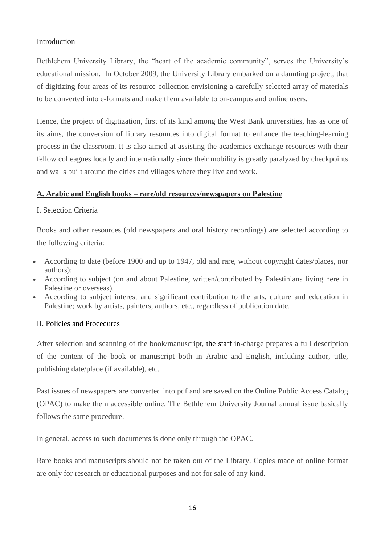### Introduction

Bethlehem University Library, the "heart of the academic community", serves the University's educational mission. In October 2009, the University Library embarked on a daunting project, that of digitizing four areas of its resource-collection envisioning a carefully selected array of materials to be converted into e-formats and make them available to on-campus and online users.

Hence, the project of digitization, first of its kind among the West Bank universities, has as one of its aims, the conversion of library resources into digital format to enhance the teaching-learning process in the classroom. It is also aimed at assisting the academics exchange resources with their fellow colleagues locally and internationally since their mobility is greatly paralyzed by checkpoints and walls built around the cities and villages where they live and work.

### **A. Arabic and English books – rare/old resources/newspapers on Palestine**

### I. Selection Criteria

Books and other resources (old newspapers and oral history recordings) are selected according to the following criteria:

- According to date (before 1900 and up to 1947, old and rare, without copyright dates/places, nor authors);
- According to subject (on and about Palestine, written/contributed by Palestinians living here in Palestine or overseas).
- According to subject interest and significant contribution to the arts, culture and education in Palestine; work by artists, painters, authors, etc., regardless of publication date.

### II. Policies and Procedures

After selection and scanning of the book/manuscript, the staff in-charge prepares a full description of the content of the book or manuscript both in Arabic and English, including author, title, publishing date/place (if available), etc.

Past issues of newspapers are converted into pdf and are saved on the Online Public Access Catalog (OPAC) to make them accessible online. The Bethlehem University Journal annual issue basically follows the same procedure.

In general, access to such documents is done only through the OPAC.

Rare books and manuscripts should not be taken out of the Library. Copies made of online format are only for research or educational purposes and not for sale of any kind.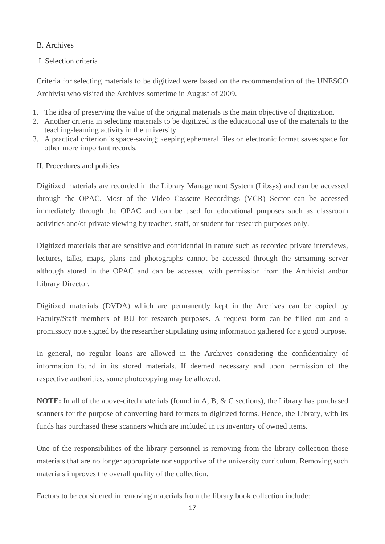### B. Archives

## I. Selection criteria

Criteria for selecting materials to be digitized were based on the recommendation of the UNESCO Archivist who visited the Archives sometime in August of 2009.

- 1. The idea of preserving the value of the original materials is the main objective of digitization.
- 2. Another criteria in selecting materials to be digitized is the educational use of the materials to the teaching-learning activity in the university.
- 3. A practical criterion is space-saving; keeping ephemeral files on electronic format saves space for other more important records.

## II. Procedures and policies

Digitized materials are recorded in the Library Management System (Libsys) and can be accessed through the OPAC. Most of the Video Cassette Recordings (VCR) Sector can be accessed immediately through the OPAC and can be used for educational purposes such as classroom activities and/or private viewing by teacher, staff, or student for research purposes only.

Digitized materials that are sensitive and confidential in nature such as recorded private interviews, lectures, talks, maps, plans and photographs cannot be accessed through the streaming server although stored in the OPAC and can be accessed with permission from the Archivist and/or Library Director.

Digitized materials (DVDA) which are permanently kept in the Archives can be copied by Faculty/Staff members of BU for research purposes. A request form can be filled out and a promissory note signed by the researcher stipulating using information gathered for a good purpose.

In general, no regular loans are allowed in the Archives considering the confidentiality of information found in its stored materials. If deemed necessary and upon permission of the respective authorities, some photocopying may be allowed.

**NOTE:** In all of the above-cited materials (found in A, B, & C sections), the Library has purchased scanners for the purpose of converting hard formats to digitized forms. Hence, the Library, with its funds has purchased these scanners which are included in its inventory of owned items.

One of the responsibilities of the library personnel is removing from the library collection those materials that are no longer appropriate nor supportive of the university curriculum. Removing such materials improves the overall quality of the collection.

Factors to be considered in removing materials from the library book collection include: